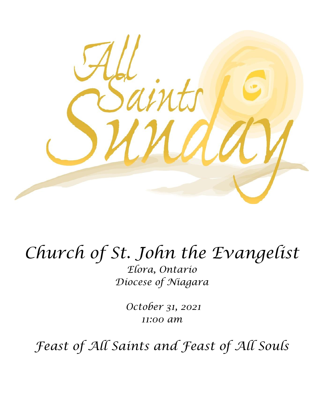

# *Church of St. John the Evangelist*

*Elora, Ontario Diocese of Niagara*

> *October 31, 2021 11:00 am*

*Feast of All Saints and Feast of All Souls*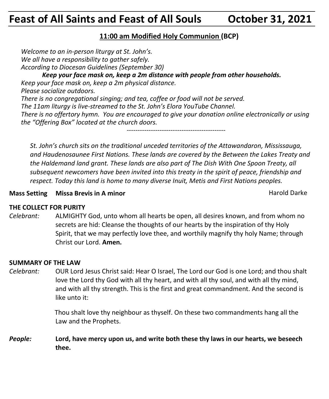# **Feast of All Saints and Feast of All Souls October 31, 2021**

# **11:00 am Modified Holy Communion (BCP)**

*Welcome to an in-person liturgy at St. John's. We all have a responsibility to gather safely. According to Diocesan Guidelines (September 30) Keep your face mask on, keep a 2m distance with people from other households. Keep your face mask on, keep a 2m physical distance. Please socialize outdoors. There is no congregational singing; and tea, coffee or food will not be served. The 11am liturgy is live-streamed to the St. John's Elora YouTube Channel. There is no offertory hymn. You are encouraged to give your donation online electronically or using the "Offering Box" located at the church doors. ---------------------------------------------*

*St. John's church sits on the traditional unceded territories of the Attawandaron, Mississauga, and Haudenosaunee First Nations. These lands are covered by the Between the Lakes Treaty and the Haldemand land grant. These lands are also part of The Dish With One Spoon Treaty, all subsequent newcomers have been invited into this treaty in the spirit of peace, friendship and respect. Today this land is home to many diverse Inuit, Metis and First Nations peoples.* 

# **Mass Setting Missa Brevis in A minor** Mass **Mass Setting Missa Brevis in A minor** Harold Darke

# **THE COLLECT FOR PURITY**

*Celebrant:* ALMIGHTY God, unto whom all hearts be open, all desires known, and from whom no secrets are hid: Cleanse the thoughts of our hearts by the inspiration of thy Holy Spirit, that we may perfectly love thee, and worthily magnify thy holy Name; through Christ our Lord. **Amen.**

#### **SUMMARY OF THE LAW**

*Celebrant:* OUR Lord Jesus Christ said: Hear O Israel, The Lord our God is one Lord; and thou shalt love the Lord thy God with all thy heart, and with all thy soul, and with all thy mind, and with all thy strength. This is the first and great commandment. And the second is like unto it:

> Thou shalt love thy neighbour as thyself. On these two commandments hang all the Law and the Prophets.

# *People:* **Lord, have mercy upon us, and write both these thy laws in our hearts, we beseech thee.**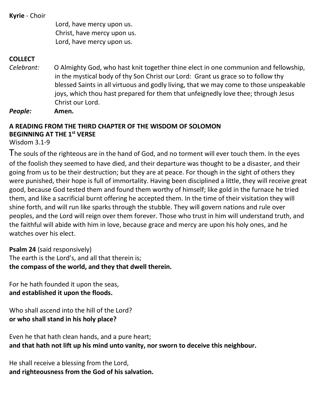**Kyrie** - Choir

Lord, have mercy upon us. Christ, have mercy upon us. Lord, have mercy upon us.

# **COLLECT**

*Celebrant:* O Almighty God, who hast knit together thine elect in one communion and fellowship, in the mystical body of thy Son Christ our Lord: Grant us grace so to follow thy blessed Saints in all virtuous and godly living, that we may come to those unspeakable joys, which thou hast prepared for them that unfeignedly love thee; through Jesus Christ our Lord.

*People:* **Amen.**

# **A READING FROM THE THIRD CHAPTER OF THE WISDOM OF SOLOMON BEGINNING AT THE 1st VERSE**

Wisdom 3.1-9

The souls of the righteous are in the hand of God, and no torment will ever touch them. In the eyes of the foolish they seemed to have died, and their departure was thought to be a disaster, and their going from us to be their destruction; but they are at peace. For though in the sight of others they were punished, their hope is full of immortality. Having been disciplined a little, they will receive great good, because God tested them and found them worthy of himself; like gold in the furnace he tried them, and like a sacrificial burnt offering he accepted them. In the time of their visitation they will shine forth, and will run like sparks through the stubble. They will govern nations and rule over peoples, and the Lord will reign over them forever. Those who trust in him will understand truth, and the faithful will abide with him in love, because grace and mercy are upon his holy ones, and he watches over his elect.

**Psalm 24** (said responsively) The earth is the Lord's, and all that therein is; **the compass of the world, and they that dwell therein.**

For he hath founded it upon the seas, **and established it upon the floods.**

Who shall ascend into the hill of the Lord? **or who shall stand in his holy place?**

Even he that hath clean hands, and a pure heart; **and that hath not lift up his mind unto vanity, nor sworn to deceive this neighbour.**

He shall receive a blessing from the Lord, **and righteousness from the God of his salvation.**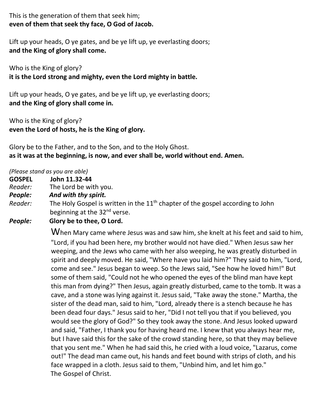This is the generation of them that seek him; **even of them that seek thy face, O God of Jacob.**

Lift up your heads, O ye gates, and be ye lift up, ye everlasting doors; **and the King of glory shall come.**

Who is the King of glory? **it is the Lord strong and mighty, even the Lord mighty in battle.**

Lift up your heads, O ye gates, and be ye lift up, ye everlasting doors; **and the King of glory shall come in.**

Who is the King of glory? **even the Lord of hosts, he is the King of glory.**

Glory be to the Father, and to the Son, and to the Holy Ghost. **as it was at the beginning, is now, and ever shall be, world without end. Amen.**

#### *(Please stand as you are able)*

- **GOSPEL John 11.32-44**
- *Reader:*The Lord be with you.
- *People: And with thy spirit.*
- Reader: The Holy Gospel is written in the 11<sup>th</sup> chapter of the gospel according to John beginning at the 32<sup>nd</sup> verse.
- *People:* **Glory be to thee, O Lord.**

When Mary came where Jesus was and saw him, she knelt at his feet and said to him, "Lord, if you had been here, my brother would not have died." When Jesus saw her weeping, and the Jews who came with her also weeping, he was greatly disturbed in spirit and deeply moved. He said, "Where have you laid him?" They said to him, "Lord, come and see." Jesus began to weep. So the Jews said, "See how he loved him!" But some of them said, "Could not he who opened the eyes of the blind man have kept this man from dying?" Then Jesus, again greatly disturbed, came to the tomb. It was a cave, and a stone was lying against it. Jesus said, "Take away the stone." Martha, the sister of the dead man, said to him, "Lord, already there is a stench because he has been dead four days." Jesus said to her, "Did I not tell you that if you believed, you would see the glory of God?" So they took away the stone. And Jesus looked upward and said, "Father, I thank you for having heard me. I knew that you always hear me, but I have said this for the sake of the crowd standing here, so that they may believe that you sent me." When he had said this, he cried with a loud voice, "Lazarus, come out!" The dead man came out, his hands and feet bound with strips of cloth, and his face wrapped in a cloth. Jesus said to them, "Unbind him, and let him go." The Gospel of Christ.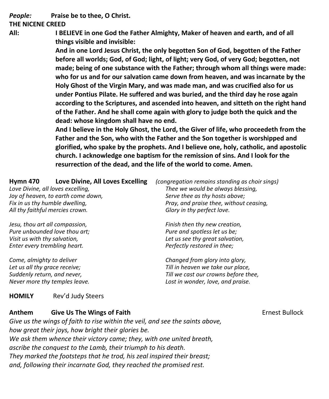*People:* **Praise be to thee, O Christ.**

#### **THE NICENE CREED**

**All: I BELIEVE in one God the Father Almighty, Maker of heaven and earth, and of all things visible and invisible:**

> **And in one Lord Jesus Christ, the only begotten Son of God, begotten of the Father before all worlds; God, of God; light, of light; very God, of very God; begotten, not made; being of one substance with the Father; through whom all things were made: who for us and for our salvation came down from heaven, and was incarnate by the Holy Ghost of the Virgin Mary, and was made man, and was crucified also for us under Pontius Pilate. He suffered and was buried, and the third day he rose again according to the Scriptures, and ascended into heaven, and sitteth on the right hand of the Father. And he shall come again with glory to judge both the quick and the dead: whose kingdom shall have no end.**

> **And I believe in the Holy Ghost, the Lord, the Giver of life, who proceedeth from the Father and the Son, who with the Father and the Son together is worshipped and glorified, who spake by the prophets. And I believe one, holy, catholic, and apostolic church. I acknowledge one baptism for the remission of sins. And I look for the resurrection of the dead, and the life of the world to come. Amen.**

| Love Divine, All Loves Excelling<br><b>Hymn 470</b><br>Love Divine, all loves excelling,<br>Joy of heaven, to earth come down,<br>Fix in us thy humble dwelling,<br>All thy faithful mercies crown. | (congregation remains standing as choir sings)<br>Thee we would be always blessing,<br>Serve thee as thy hosts above;<br>Pray, and praise thee, without ceasing,<br>Glory in thy perfect love. |
|-----------------------------------------------------------------------------------------------------------------------------------------------------------------------------------------------------|------------------------------------------------------------------------------------------------------------------------------------------------------------------------------------------------|
| Jesu, thou art all compassion,                                                                                                                                                                      | Finish then thy new creation,                                                                                                                                                                  |
| Pure unbounded love thou art;                                                                                                                                                                       | Pure and spotless let us be;                                                                                                                                                                   |
| Visit us with thy salvation,                                                                                                                                                                        | Let us see thy great salvation,                                                                                                                                                                |
| Enter every trembling heart.                                                                                                                                                                        | Perfectly restored in thee;                                                                                                                                                                    |
| Come, almighty to deliver                                                                                                                                                                           | Changed from glory into glory,                                                                                                                                                                 |
| Let us all thy grace receive;                                                                                                                                                                       | Till in heaven we take our place,                                                                                                                                                              |
| Suddenly return, and never,                                                                                                                                                                         | Till we cast our crowns before thee,                                                                                                                                                           |
| Never more thy temples leave.                                                                                                                                                                       | Lost in wonder, love, and praise.                                                                                                                                                              |

#### **HOMILY** Rev'd Judy Steers

#### **Anthem Give Us The Wings of Faith** Ernest Bullock

*Give us the wings of faith to rise within the veil, and see the saints above, how great their joys, how bright their glories be. We ask them whence their victory came; they, with one united breath, ascribe the conquest to the Lamb, their triumph to his death. They marked the footsteps that he trod, his zeal inspired their breast; and, following their incarnate God, they reached the promised rest.*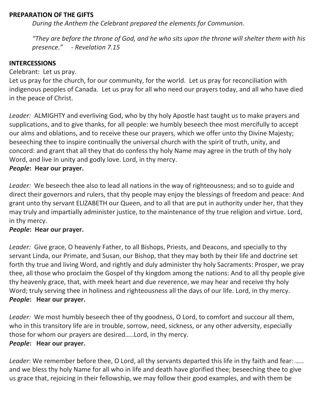#### **PREPARATION OF THE GIFTS**

*During the Anthem the Celebrant prepared the elements for Communion.*

*"They are before the throne of God, and he who sits upon the throne will shelter them with his presence." - Revelation 7.15*

#### **INTERCESSIONS**

Celebrant: Let us pray.

Let us pray for the church, for our community, for the world. Let us pray for reconciliation with indigenous peoples of Canada. Let us pray for all who need our prayers today, and all who have died in the peace of Christ.

*Leader:* ALMIGHTY and everliving God, who by thy holy Apostle hast taught us to make prayers and supplications, and to give thanks, for all people: we humbly beseech thee most mercifully to accept our alms and oblations, and to receive these our prayers, which we offer unto thy Divine Majesty; beseeching thee to inspire continually the universal church with the spirit of truth, unity, and concord: and grant that all they that do confess thy holy Name may agree in the truth of thy holy Word, and live in unity and godly love. Lord, in thy mercy.

#### *People***: Hear our prayer.**

*Leader:* We beseech thee also to lead all nations in the way of righteousness; and so to guide and direct their governors and rulers, that thy people may enjoy the blessings of freedom and peace: And grant unto thy servant ELIZABETH our Queen, and to all that are put in authority under her, that they may truly and impartially administer justice, to the maintenance of thy true religion and virtue. Lord, in thy mercy.

#### *People***: Hear our prayer.**

*Leader:* Give grace, O heavenly Father, to all Bishops, Priests, and Deacons, and specially to thy servant Linda, our Primate, and Susan, our Bishop, that they may both by their life and doctrine set forth thy true and living Word, and rightly and duly administer thy holy Sacraments: Prosper, we pray thee, all those who proclaim the Gospel of thy kingdom among the nations: And to all thy people give thy heavenly grace, that, with meek heart and due reverence, we may hear and receive thy holy Word; truly serving thee in holiness and righteousness all the days of our life. Lord, in thy mercy. *People***: Hear our prayer.**

*Leader:* We most humbly beseech thee of thy goodness, O Lord, to comfort and succour all them, who in this transitory life are in trouble, sorrow, need, sickness, or any other adversity, especially those for whom our prayers are desired…..Lord, in thy mercy. *People***: Hear our prayer.**

*Leader*: We remember before thee, O Lord, all thy servants departed this life in thy faith and fear: ….. and we bless thy holy Name for all who in life and death have glorified thee; beseeching thee to give us grace that, rejoicing in their fellowship, we may follow their good examples, and with them be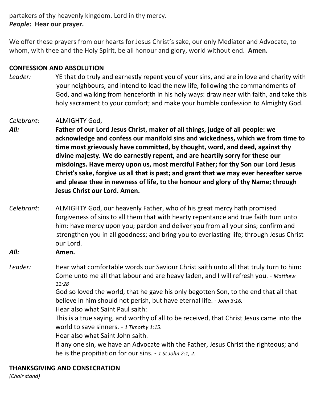partakers of thy heavenly kingdom. Lord in thy mercy. *People***: Hear our prayer.**

We offer these prayers from our hearts for Jesus Christ's sake, our only Mediator and Advocate, to whom, with thee and the Holy Spirit, be all honour and glory, world without end. **Amen.**

#### **CONFESSION AND ABSOLUTION**

*Leader:* YE that do truly and earnestly repent you of your sins, and are in love and charity with your neighbours, and intend to lead the new life, following the commandments of God, and walking from henceforth in his holy ways: draw near with faith, and take this holy sacrament to your comfort; and make your humble confession to Almighty God.

#### *Celebrant:* ALMIGHTY God,

*All:* **Father of our Lord Jesus Christ, maker of all things, judge of all people: we acknowledge and confess our manifold sins and wickedness, which we from time to time most grievously have committed, by thought, word, and deed, against thy divine majesty. We do earnestly repent, and are heartily sorry for these our misdoings. Have mercy upon us, most merciful Father; for thy Son our Lord Jesus Christ's sake, forgive us all that is past; and grant that we may ever hereafter serve and please thee in newness of life, to the honour and glory of thy Name; through Jesus Christ our Lord. Amen.**

- *Celebrant:* ALMIGHTY God, our heavenly Father, who of his great mercy hath promised forgiveness of sins to all them that with hearty repentance and true faith turn unto him: have mercy upon you; pardon and deliver you from all your sins; confirm and strengthen you in all goodness; and bring you to everlasting life; through Jesus Christ our Lord.
- *All:* **Amen.**

*Leader:* Hear what comfortable words our Saviour Christ saith unto all that truly turn to him: Come unto me all that labour and are heavy laden, and I will refresh you. - *Matthew 11:28*

> God so loved the world, that he gave his only begotten Son, to the end that all that believe in him should not perish, but have eternal life. - *John 3:16.*

Hear also what Saint Paul saith:

This is a true saying, and worthy of all to be received, that Christ Jesus came into the world to save sinners. - *1 Timothy 1:15.*

Hear also what Saint John saith.

If any one sin, we have an Advocate with the Father, Jesus Christ the righteous; and he is the propitiation for our sins. - *1 St John 2:1, 2*.

#### **THANKSGIVING AND CONSECRATION**

*(Choir stand)*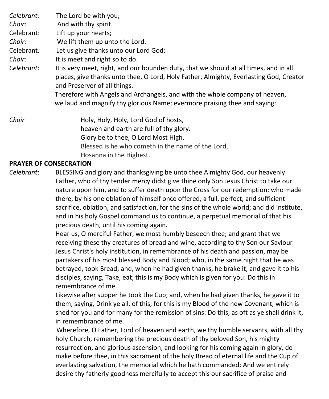*Celebrant:* The Lord be with you; *Choir:* And with thy spirit. Celebrant: Lift up your hearts; *Choir:* We lift them up unto the Lord. Celebrant*:* Let us give thanks unto our Lord God; *Choir:* It is meet and right so to do. *Celebrant:* It is very meet, right, and our bounden duty, that we should at all times, and in all places, give thanks unto thee, O Lord, Holy Father, Almighty, Everlasting God, Creator and Preserver of all things. Therefore with Angels and Archangels, and with the whole company of heaven, we laud and magnify thy glorious Name; evermore praising thee and saying: *Choir* **Holy, Holy, Holy, Lord God of hosts,**  heaven and earth are full of thy glory. Glory be to thee, O Lord Most High.

Blessed is he who cometh in the name of the Lord,

Hosanna in the Highest.

# **PRAYER OF CONSECRATION**

*Celebrant*: BLESSING and glory and thanksgiving be unto thee Almighty God, our heavenly Father, who of thy tender mercy didst give thine only Son Jesus Christ to take our nature upon him, and to suffer death upon the Cross for our redemption; who made there, by his one oblation of himself once offered, a full, perfect, and sufficient sacrifice, oblation, and satisfaction, for the sins of the whole world; and did institute, and in his holy Gospel command us to continue, a perpetual memorial of that his precious death, until his coming again.

> Hear us, O merciful Father, we most humbly beseech thee; and grant that we receiving these thy creatures of bread and wine, according to thy Son our Saviour Jesus Christ's holy institution, in remembrance of his death and passion, may be partakers of his most blessed Body and Blood; who, in the same night that he was betrayed, took Bread; and, when he had given thanks, he brake it; and gave it to his disciples, saying, Take, eat; this is my Body which is given for you: Do this in remembrance of me.

Likewise after supper he took the Cup; and, when he had given thanks, he gave it to them, saying, Drink ye all, of this; for this is my Blood of the new Covenant, which is shed for you and for many for the remission of sins: Do this, as oft as ye shall drink it, in remembrance of me.

 Wherefore, O Father, Lord of heaven and earth, we thy humble servants, with all thy holy Church, remembering the precious death of thy beloved Son, his mighty resurrection, and glorious ascension, and looking for his coming again in glory, do make before thee, in this sacrament of the holy Bread of eternal life and the Cup of everlasting salvation, the memorial which he hath commanded; And we entirely desire thy fatherly goodness mercifully to accept this our sacrifice of praise and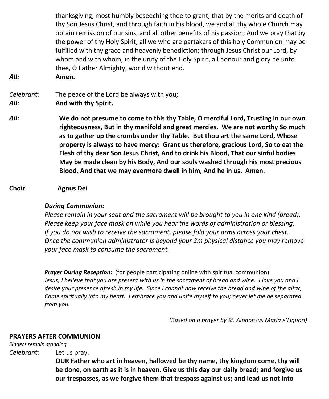thanksgiving, most humbly beseeching thee to grant, that by the merits and death of thy Son Jesus Christ, and through faith in his blood, we and all thy whole Church may obtain remission of our sins, and all other benefits of his passion; And we pray that by the power of thy Holy Spirit, all we who are partakers of this holy Communion may be fulfilled with thy grace and heavenly benediction; through Jesus Christ our Lord, by whom and with whom, in the unity of the Holy Spirit, all honour and glory be unto thee, O Father Almighty, world without end.

*All:* **Amen.**

*Celebrant:* The peace of the Lord be always with you; *All:* **And with thy Spirit.**

- *All:* **We do not presume to come to this thy Table, O merciful Lord, Trusting in our own righteousness, But in thy manifold and great mercies. We are not worthy So much as to gather up the crumbs under thy Table. But thou art the same Lord, Whose property is always to have mercy: Grant us therefore, gracious Lord, So to eat the Flesh of thy dear Son Jesus Christ, And to drink his Blood, That our sinful bodies May be made clean by his Body, And our souls washed through his most precious Blood, And that we may evermore dwell in him, And he in us. Amen.**
- **Choir Agnus Dei**

#### *During Communion:*

*Please remain in your seat and the sacrament will be brought to you in one kind (bread). Please keep your face mask on while you hear the words of administration or blessing. If you do not wish to receive the sacrament, please fold your arms across your chest. Once the communion administrator is beyond your 2m physical distance you may remove your face mask to consume the sacrament.*

*Prayer During Reception:* (for people participating online with spiritual communion) Jesus, I believe that you are present with us in the sacrament of bread and wine. I love you and I desire your presence afresh in my life. Since I cannot now receive the bread and wine of the altar, *Come spiritually into my heart. I embrace you and unite myself to you; never let me be separated from you.*

*(Based on a prayer by St. Alphonsus Maria e'Liguori)*

#### **PRAYERS AFTER COMMUNION**

*Singers remain standing*

*Celebrant:* Let us pray.

**OUR Father who art in heaven, hallowed be thy name, thy kingdom come, thy will be done, on earth as it is in heaven. Give us this day our daily bread; and forgive us our trespasses, as we forgive them that trespass against us; and lead us not into**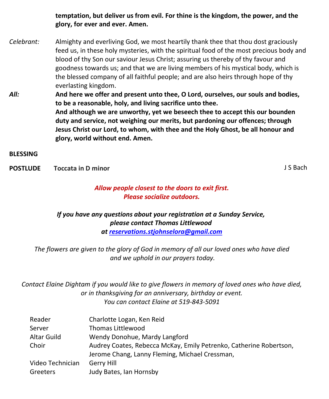**temptation, but deliver us from evil. For thine is the kingdom, the power, and the glory, for ever and ever. Amen.**

- *Celebrant:* Almighty and everliving God, we most heartily thank thee that thou dost graciously feed us, in these holy mysteries, with the spiritual food of the most precious body and blood of thy Son our saviour Jesus Christ; assuring us thereby of thy favour and goodness towards us; and that we are living members of his mystical body, which is the blessed company of all faithful people; and are also heirs through hope of thy everlasting kingdom.
- *All:* **And here we offer and present unto thee, O Lord, ourselves, our souls and bodies, to be a reasonable, holy, and living sacrifice unto thee. And although we are unworthy, yet we beseech thee to accept this our bounden duty and service, not weighing our merits, but pardoning our offences; through Jesus Christ our Lord, to whom, with thee and the Holy Ghost, be all honour and glory, world without end. Amen.**

**BLESSING**

**POSTLUDE** Toccata in D minor **CONSIDERITY SECOND TO A SECOND TO A SECOND TO A SECOND TO BACH** 

# *Allow people closest to the doors to exit first. Please socialize outdoors.*

*If you have any questions about your registration at a Sunday Service, please contact Thomas Littlewood at [reservations.stjohnselora@gmail.com](mailto:reservations.stjohnselora@gmail.com)*

*The flowers are given to the glory of God in memory of all our loved ones who have died and we uphold in our prayers today.*

*Contact Elaine Dightam if you would like to give flowers in memory of loved ones who have died, or in thanksgiving for an anniversary, birthday or event. You can contact Elaine at 519-843-5091*

| Reader           | Charlotte Logan, Ken Reid                                          |
|------------------|--------------------------------------------------------------------|
| Server           | <b>Thomas Littlewood</b>                                           |
| Altar Guild      | Wendy Donohue, Mardy Langford                                      |
| Choir            | Audrey Coates, Rebecca McKay, Emily Petrenko, Catherine Robertson, |
|                  | Jerome Chang, Lanny Fleming, Michael Cressman,                     |
| Video Technician | Gerry Hill                                                         |
| Greeters         | Judy Bates, Ian Hornsby                                            |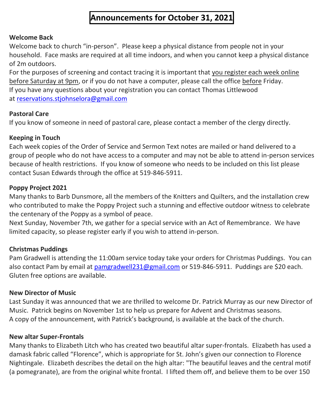# **Announcements for October 31, 2021**

# **Welcome Back**

Welcome back to church "in-person". Please keep a physical distance from people not in your household. Face masks are required at all time indoors, and when you cannot keep a physical distance of 2m outdoors.

For the purposes of screening and contact tracing it is important that you register each week online before Saturday at 9pm, or if you do not have a computer, please call the office before Friday. If you have any questions about your registration you can contact Thomas Littlewood at [reservations.stjohnselora@gmail.com](mailto:reservations.stjohnselora@gmail.com)

# **Pastoral Care**

If you know of someone in need of pastoral care, please contact a member of the clergy directly.

# **Keeping in Touch**

Each week copies of the Order of Service and Sermon Text notes are mailed or hand delivered to a group of people who do not have access to a computer and may not be able to attend in-person services because of health restrictions. If you know of someone who needs to be included on this list please contact Susan Edwards through the office at 519-846-5911.

# **Poppy Project 2021**

Many thanks to Barb Dunsmore, all the members of the Knitters and Quilters, and the installation crew who contributed to make the Poppy Project such a stunning and effective outdoor witness to celebrate the centenary of the Poppy as a symbol of peace.

Next Sunday, November 7th, we gather for a special service with an Act of Remembrance. We have limited capacity, so please register early if you wish to attend in-person.

# **Christmas Puddings**

Pam Gradwell is attending the 11:00am service today take your orders for Christmas Puddings. You can also contact Pam by email at [pamgradwell231@gmail.com](mailto:pamgradwell231@gmail.com) or 519-846-5911. Puddings are \$20 each. Gluten free options are available.

# **New Director of Music**

Last Sunday it was announced that we are thrilled to welcome Dr. Patrick Murray as our new Director of Music. Patrick begins on November 1st to help us prepare for Advent and Christmas seasons. A copy of the announcement, with Patrick's background, is available at the back of the church.

#### **New altar Super-Frontals**

Many thanks to Elizabeth Litch who has created two beautiful altar super-frontals. Elizabeth has used a damask fabric called "Florence", which is appropriate for St. John's given our connection to Florence Nightingale. Elizabeth describes the detail on the high altar: "The beautiful leaves and the central motif (a pomegranate), are from the original white frontal. I lifted them off, and believe them to be over 150